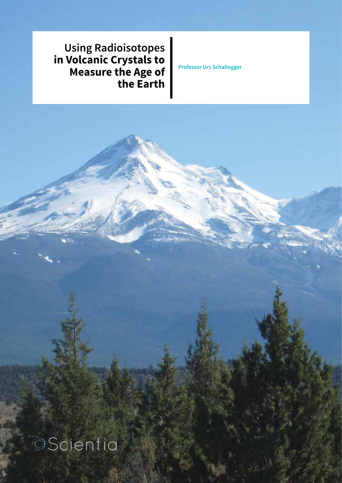**Using Radioisotopes in Volcanic Crystals to Measure the Age of the Earth**

**Professor Urs Schaltegger**

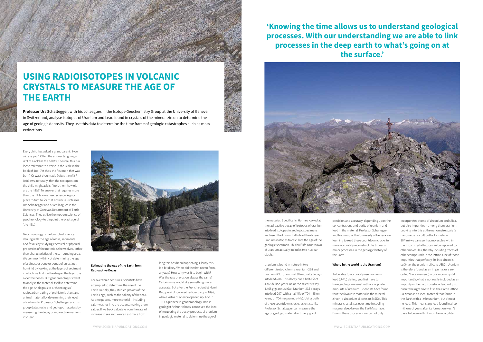Every child has asked a grandparent: 'How old are you?' Often the answer laughingly is: 'I'm as old as the hills!' Of course, this is a loose reference to a verse in the Bible in the book of Job: 'Art thou the first man that was born? Or wast thou made *before the hills?*' It follows, naturally, that the next question the child might ask is: 'Well, then, how old are the hills?' To answer that requires more than the Bible – we need science. A good place to turn to for that answer is Professor Urs Schaltegger and his colleagues in the University of Geneva's Department of Earth Sciences. They utilise the modern science of geochronology to pinpoint the exact age of 'the hills'.

Geochronology is the branch of science dealing with the age of rocks, sediments and fossils by studying chemical or physical properties of the materials themselves, rather than characteristics of the surrounding area. We commonly think of determining the age of a dinosaur bone or bones of an extinct hominid by looking at the layers of sediment in which we find it – the deeper the layer, the older the bones. But geochronologists want to analyse the material itself to determine the age. Analogous to archaeologists' radiocarbon dating of prehistoric plant and animal material by determining their level of carbon-14, Professor Schaltegger and his group dates rocks and geologic materials by measuring the decay of radioactive uranium into lead.

### **Estimating the Age of the Earth from Radioactive Decay**

For over three centuries, scientists have attempted to determine the age of the Earth. Initially, they studied proxies of the Earth's age, such as the salinity of the seas. As time passes, more material – including salt – washes into the oceans, making them saltier. If we back calculate from the rate of increase in sea salt, we can estimate how

### **USING RADIOISOTOPES IN VOLCANIC CRYSTALS TO MEASURE THE AGE OF THE EARTH**

**Professor Urs Schaltegger,** with his colleagues in the Isotope Geochemistry Group at the University of Geneva in Switzerland, analyse isotopes of Uranium and Lead found in crystals of the mineral zircon to determine the age of geologic deposits. They use this data to determine the time frame of geologic catastrophes such as mass extinctions.



long this has been happening. Clearly this is a bit dicey. When did the first ocean form, anyway? How salty was it to begin with? Was the rate of erosion always the same? Certainly we would like something more accurate. But after the French scientist Henri Becquerel discovered radioactivity in 1896, whole vistas of science opened up. And in 1911 a pioneer in geochronology, British geologist Arthur Holmes, conceived the idea of measuring the decay products of uranium in geologic material to determine the age of

the material. Specifically, Holmes looked at the radioactive decay of isotopes of uranium into lead isotopes in geologic specimens and used the known half-life of the different uranium isotopes to calculate the age of the geologic specimen. This half-life countdown of uranium actually includes two nuclear clocks:

Uranium is found in nature in two different isotopic forms, uranium-238 and uranium-235. Uranium-238 naturally decays into lead-206. This decay has a half-life of 4.468 billion years, or, as the scientists say, 4.468 gigaannus (Ga). Uranium-235 decays into lead-207, with a half-life of 704 million years, or 704 megaannus (Ma). Using both of these countdown clocks, scientists like Professor Schaltegger can measure the age of geologic material with very good

precision and accuracy, depending upon the concentrations and purity of uranium and lead in the material. Professor Schaltegger and his group at the University of Geneva are learning to read these countdown clocks to more accurately reconstruct the timing of major processes in the geologic history of the Earth.

### **Where in the World is the Uranium?**

To be able to accurately use uraniumlead (U-Pb) dating, you first have to have geologic material with appropriate amounts of uranium. Scientists have found that the favourite material is the mineral zircon, a zirconium silicate, or ZrSiO4. This mineral crystallises over time in cooling magma, deep below the Earth's surface. During these processes, zircon not only

incorporates atoms of zirconium and silica, but also impurities – among them uranium. Looking into this at the nanometre scale (a nanometre is a billionth of a meter – 10<sup>-9</sup> m) we can see that molecules within the zircon crystal lattice can be replaced by other molecules, thereby including traces of other compounds in the lattice. One of those impurities that perfectly fits into zircon is *coffinite*, the uranium silicate USiO4. Uranium is therefore found as an impurity, or a socalled 'trace element', in our zircon crystal. Importantly, what is *not* easily included as an impurity in the zircon crystal is lead – it just hasn't the right size to fit in the zircon lattice. So zircon is an ideal material that forms in the Earth with a little uranium, but almost no lead. This means any lead found in zircon millions of years after its formation wasn't there to begin with. It must be a daughter

# **'Knowing the time allows us to understand geological**

**processes. With our understanding we are able to link processes in the deep earth to what's going on at the surface.'**



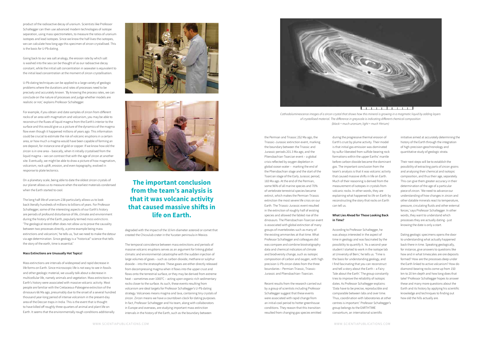product of the radioactive decay of uranium. Scientists like Professor Schaltegger can then use advanced modern technologies of isotope separation, using mass spectrometers, to measure the ratios of uranium isotopes and lead isotopes. Since we know the half-lives the isotopes, we can calculate how long ago this specimen of zircon crystallised. This is the basis for U-Pb dating.

Going back to our sea salt analogy, the erosion rate by which salt is washed into the sea can be thought of as our radioactive decay constant, while the initial salt concentration in seawater is equivalent to the initial lead concentration at the moment of zircon crystallisation.

U-Pb dating techniques can be applied to a large variety of geologic problems where the durations and rates of processes need to be precisely and accurately known. 'By knowing the process rates, we can conclude on the nature of processes and judge whether models are realistic or not,' explains Professor Schaltegger.

For example, if you obtain and date samples of zircon from different rocks of an area with magmatism and volcanism, you may be able to reconstruct the fluxes of liquid magma from the Earth's interior to the surface and this would give us a picture of the dynamics of the magma flow even though it happened millions of years ago. This information could be crucial to estimate the risk of volcanic eruptions in a certain area, or how much a magma would have been capable of forming an ore deposit, for instance one of gold or copper. If we know how old the zircon is in one area – basically, when it initially crystalised from the liquid magma – we can contrast that with the age of zircon at another site. Eventually, we might be able to draw a picture of how magmatism, volcanism, rock uplift, erosion, and even topography, evolved in response to plate tectonics.

On a planetary scale, being able to date the oldest zircon crystals of our planet allows us to measure when the earliest materials condensed when the Earth started to cool.

The long half-life of uranium-238 particularly allows us to look back literally hundreds of millions to billions of years. For Professor Schaltegger, some of the interesting aspects of our Earth's history are periods of profound disturbance of life, climate and environment during the history of the Earth, popularly termed *mass extinctions*. 'The geological record often does not allow us to prove the causality between two processes directly, a prime example being mass extinctions and volcanism,' he tells us, 'but we need to make the detour via age determination. Since geology is a "historical" science that tells the story of the earth, time is essential.'

### **Mass Extinctions are Unusually Hot Topics!**

Mass extinctions are intervals of widespread and rapid decrease in life forms on Earth. Since microscopic life is not easy to see in fossils and other geologic material, we usually talk about a decrease in multicellular life, namely animals and vegetation. Mass extinctions in Earth's history were associated with massive volcanic activity. Most people are familiar with the Cretaceous-Paleogene extinction of the dinosaurs 66 Ma ago, presumably due to the onset of a several hundred thousand year-long period of intense volcanism in the present-day area of the Deccan traps in India. This is the event that is thought to have killed off roughly three-quarters of animal and plant life on Earth. It seems that the environmentally rough conditions additionally





degraded with the impact of the 10 km diameter asteroid or comet that created the Chicxulub crater in the Yucatan peninsula in Mexico.

The temporal coincidence between mass extinctions and periods of massive volcanic eruptions serves as an argument for linking global climatic and environmental catastrophe with the sudden injection of large volumes of gases – such as carbon dioxide, methane or sulphur dioxide – into the stratosphere. These gases are either directly released from decompressing magma when it flows into the upper crust and flows onto the terrestrial surface, or they may be derived from extreme heat – sometimes over 1000°C – acting upon organic-rich sedimentary rocks closer to the surface. As such, these events resulting from volcanism are ideal targets for Professor Schaltegger's U-Pb dating strategy. Volcanoes means magma and lava, containing tiny crystals of zircon. Zircon means we have a countdown clock for dating purposes. In fact, Professor Schaltegger and his team, along with collaborators in Europe and overseas, are studying important mass extinction intervals in the history of the Earth, such as the boundary between

the Permian and Triassic 252 Ma ago, the Triassic–Jurassic extinction event, marking the boundary between the Triassic and Jurassic periods 201.3 Ma ago, and the Pliensbachian-Toarcian event – a global crisis reflected by oxygen depletion in global ocean water – marking the end of the Pliensbachian stage and the start of the Toarcian stage of the Early Jurassic period, 183 Ma ago. At the end of the Permian, some 96% of all marine species and 70% of vertebrate terrestrial species became extinct, which makes the Permian-Triassic extinction the most severe life crisis on our Earth. The Triassic-Jurassic event resulted in the extinction of roughly half of existing species and allowed the fabled rise of the dinosaurs. The Pliensbachian-Toarcian event is associated with global extinction of many groups of invertebrates such as many of the existing ammonites at that time. What Professor Schaltegger and colleagues did was compare and combine biostratigraphy data and chemical indicators of climate and biodiversity change, such as isotopic composition of carbon and oxygen, with high precision U-Pb zircon dates from the three boundaries – Permian-Triassic, Triassic-Jurassic and Pliensbachian–Toarcian.

Recent results from the research carried out by a group of scientists including Professor Schaltegger suggest that these events were associated with rapid change from an initial cool period to hotter greenhouse conditions. They reason that this transition resulted from changing gas species emitted

during the progressive thermal erosion of Earth's crust by plume activity. Their model is that initial gas emission was dominated by sulfur liberated from sulfide-bearing rock formations within the upper Earths' mantle before carbon dioxide became the dominant gas. The important conclusion from the team's analysis is that it was volcanic activity that caused massive shifts in life on Earth. Much of their reasoning is derived from the measurement of isotopes in crystals from volcanic rocks. In other words, they are explaining what happened to *life* on Earth by reconstructing the story that rocks on Earth can tell us.

### **What Lies Ahead for Those Looking Back in Time?**

According to Professor Schaltegger, he was always interested in the aspect of time in geology and was fascinated by the possibility to quantify it. 'As a second-year student I started to work in the isotope lab at University of Bern,' he tells us. 'Time is the basis for understanding geology, and I find fascinating that you can reconstruct and tell a story about the Earth – a Fairy Tale about the Earth.' The group constantly tries to improve the reliability of isotopic dates. As Professor Schaltegger explains: 'Data have to be precise, reproducible and comparable between labs and over time. Thus, coordination with laboratories at other centres is important.' Professor Schaltegger's group belongs to the EARTHTIME consortium, an international scientific

initiative aimed at accurately determining the history of the Earth through the integration of high-precision geochronology and quantitative study of geologic strata.

Their next steps will be to establish the possibility of extracting parts of zircon grains and analysing their chemical and isotopic composition, and thus their age, separately. This can give them greater accuracy in their determination of the age of a particular piece of zircon. 'We need to advance our understanding of how changes in zircon and other datable minerals react to temperature, pressure, circulating fluids and other external forces,' says Professor Schaltegger. In other words, they want to understand which processes they are actually dating - just knowing the date is only a start.

Dating geologic specimens opens the door to understanding what actually happened back there in time. Speaking geologically, for instance, give answers to questions like how and in what timescales are ore deposits formed? How are the processes deep under the Earth linked to active volcanism? How do diamond-bearing rocks come up from 150 km to 20 km depth and how long does that take? Professor Schaltegger hopes to answer these and many more questions about the Earth and its history by applying his scientific knowledge and techniques to finding out how old the hills actually are.

**The important conclusion from the team's analysis is that it was volcanic activity that caused massive shifts in life on Earth.**



*Cathodoluminescence images of a zircon crystal that shows how this mineral is growing in a magmatic liquid by adding layers of crystallised material. The difference in greyscale is indicating different chemical composition (black = much uranium; light = much Yttrium)*